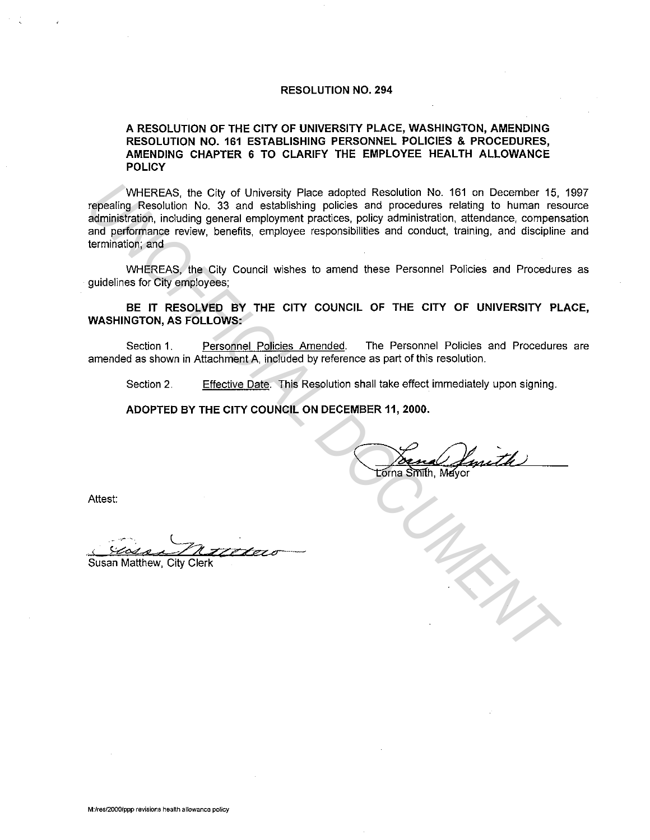#### **RESOLUTION NO. 294**

#### **A RESOLUTION OF THE CITY OF UNIVERSITY PLACE, WASHINGTON, AMENDING RESOLUTION NO. 161 ESTABLISHING PERSONNEL POLICIES & PROCEDURES,**  AMENDING CHAPTER 6 TO CLARIFY THE EMPLOYEE HEALTH ALLOWANCE **POLICY**

WHEREAS, the City of University Place adopted Resolution No. 161 on December 15, 1997 repealing Resolution No. 33 and establishing policies and procedures relating to human resource administration, including general employment practices, policy administration, attendance, compensation and performance review, benefits, employee responsibilities and conduct, training, and discipline and termination; and WHEREAS, the City of University Place adopted Resolution No. 181 on December 15,<br>repealing Resolution No. 33 and establishing policies and procedures relating to hunan resolution<br>administration, mouthing eneral employment

WHEREAS, the City Council wishes to amend these Personnel Policies and Procedures as guidelines for City employees;

#### **BE IT RESOLVED BY THE CITY COUNCIL OF THE CITY OF UNIVERSITY PLACE, WASHINGTON, AS FOLLOWS:**

Section 1. Personnel Policies Amended. The Personnel Policies and Procedures are amended as shown in Attachment A, included by reference as part of this resolution.

Section 2. Effective Date. This Resolution shall take effect immediately upon signing.

**ADOPTED BY THE CITY COUNCIL ON DECEMBER 11, 2000.** 

Attest:

.·, -~ *"L77r.zze7=.o--*

susan Matthew, City Clerk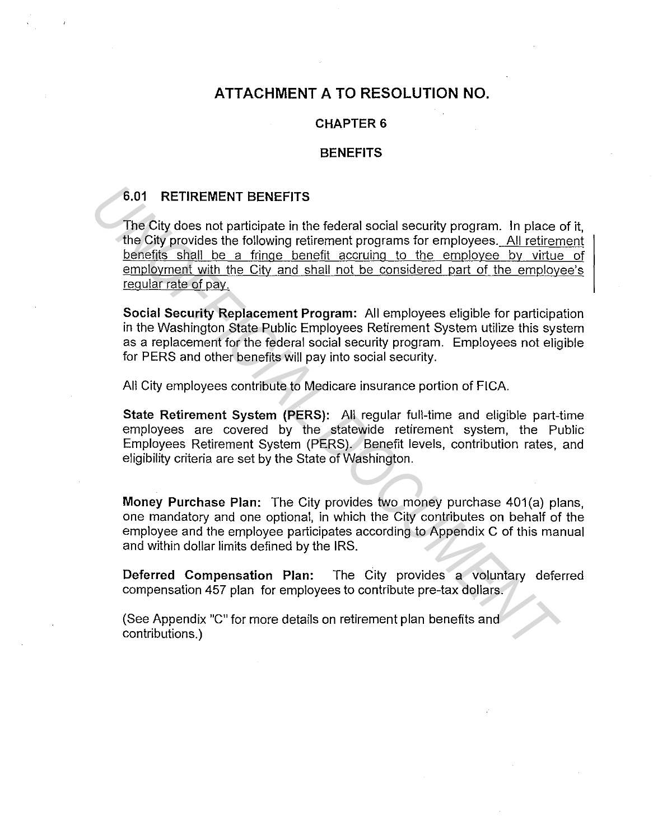# **ATTACHMENT A TO RESOLUTION NO.**

#### **CHAPTER 6**

#### **BENEFITS**

## **6.01 RETIREMENT BENEFITS**

The City does not participate in the federal social security program. In place of it, the City provides the following retirement programs for employees. All retirement benefits shall be a fringe benefit accruing to the employee by virtue of employment with the City and shall not be considered part of the employee's regular rate of pay. **6.01 RETIREMENT BENEFITS**<br>
The City does not participate in the federal social security program. In place<br>
the City provides the following retirement programs for employees. All retirem<br>
<u>benefits shall be a frince benefi</u>

**Social Security Replacement Program:** All employees eligible for participation in the Washington State Public Employees Retirement System utilize this system as a replacement for the federal social security program. Employees not eligible for PERS and other benefits will pay into social security.

All City employees contribute to Medicare insurance portion of FICA.

**State Retirement System (PERS):** All regular full-time and eligible part-time employees are covered by the statewide retirement system, the Public Employees Retirement System (PERS). Benefit levels, contribution rates, and eligibility criteria are set by the State of Washington.

**Money Purchase Plan:** The City provides two money purchase 401(a) plans, one mandatory and one optional, in which the City contributes on behalf of the employee and the employee participates according to Appendix C of this manual and within dollar limits defined by the IRS.

**Deferred Compensation Plan:** The City provides a voluntary deferred compensation 457 plan for employees to contribute pre-tax dollars.

(See Appendix "C" for more details on retirement plan benefits and contributions.)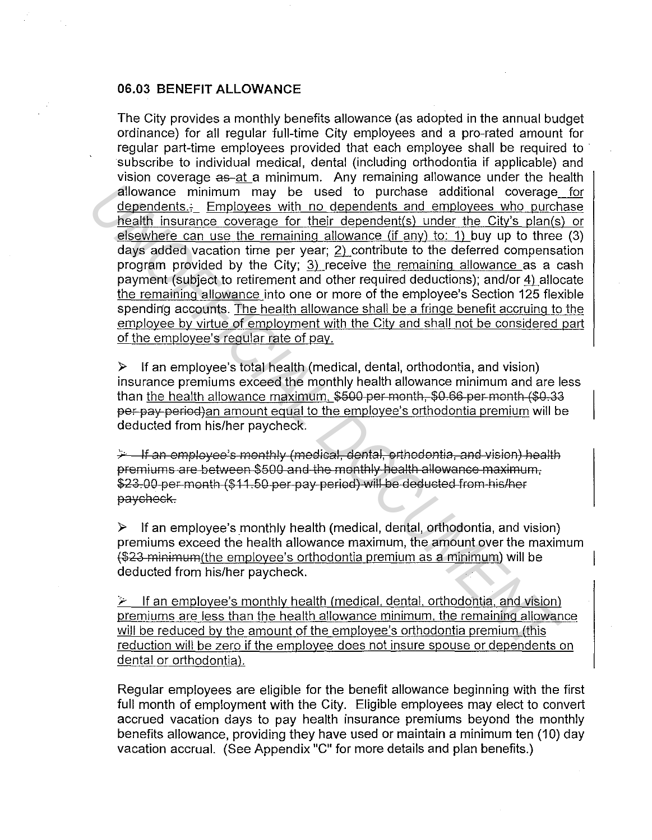### **06.03 BENEFIT ALLOWANCE**

The City provides a monthly benefits allowance (as adopted in the annual budget ordinance) for all regular full-time City employees and a pro-rated amount for regular part-time employees provided that each employee shall be required to subscribe to individual medical, dental (including orthodontia if applicable) and vision coverage as-at a minimum. Any remaining allowance under the health allowance minimum may be used to purchase additional coverage for dependents. Employees with no dependents and employees who purchase health insurance coverage for their dependent(s) under the City's plan(s) or elsewhere can use the remaining allowance (if any) to: 1) buy up to three (3) days added vacation time per year; 2) contribute to the deferred compensation program provided by the City; 3) receive the remaining allowance as a cash payment (subject to retirement and other required deductions); and/or 4) allocate the remaining allowance into one or more of the employee's Section 125 flexible spending accounts. The health allowance shall be a fringe benefit accruing to the employee by virtue of employment with the City and shall not be considered part of the employee's regular rate of pav. **Example the standard in the dependent of the standard coverage dependents.** Employes with no dependent is and employes who purchase standard and the remaining allowance d'any to the employes where can use the remaining al

 $\triangleright$  If an employee's total health (medical, dental, orthodontia, and vision) insurance premiums exceed the monthly health allowance minimum and are less than the health allowance maximum, \$500 per month, \$0.66 per month (\$0.33 per pay period)an amount equal to the employee's orthodontia premium will be deducted from his/her paycheck.

 $\div$  If an employee's monthly (medical, dental, orthodontia, and vision) health premiums are between \$500 and the monthly health allowance maximum, \$23.00-per-month (\$11.50-per-pay-period) will be deducted from his/her paycheck.

 $\triangleright$  If an employee's monthly health (medical, dental, orthodontia, and vision) premiums exceed the health allowance maximum, the amount over the maximum (\$23 minimum(the employee's orthodontia premium as a minimum) will be deducted from his/her paycheck.

If an employee's monthly health (medical, dental, orthodontia, and vision) premiums are less than the health allowance minimum. the remaining allowance will be reduced by the amount of the employee's orthodontia premium (this reduction will be zero if the employee does not insure spouse or dependents on dental or orthodontia).

Regular employees are eligible for the benefit allowance beginning with the first full month of employment with the City. Eligible employees may elect to convert accrued vacation days to pay health insurance premiums beyond the monthly benefits allowance, providing they have used or maintain a minimum ten (10) day vacation accrual. (See Appendix "C" for more details and plan benefits.)